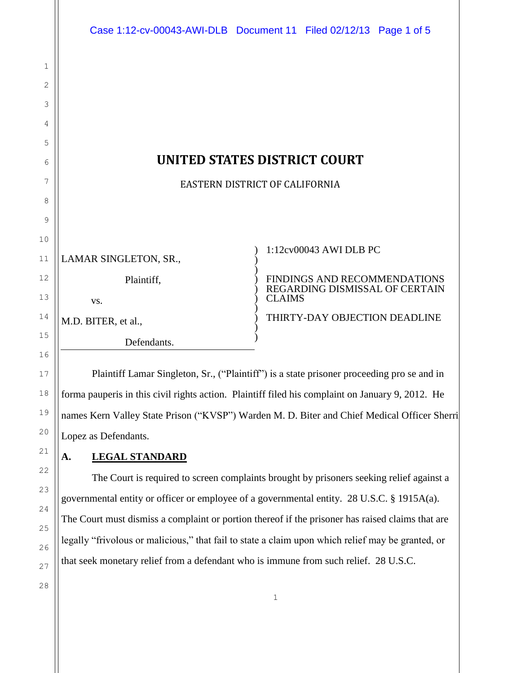|             |                                     | Case 1:12-cv-00043-AWI-DLB Document 11 Filed 02/12/13 Page 1 of 5 |
|-------------|-------------------------------------|-------------------------------------------------------------------|
| $\mathbf 1$ |                                     |                                                                   |
| 2           |                                     |                                                                   |
| 3           |                                     |                                                                   |
| 4           |                                     |                                                                   |
| 5           |                                     |                                                                   |
| 6           | <b>UNITED STATES DISTRICT COURT</b> |                                                                   |
| 7           | EASTERN DISTRICT OF CALIFORNIA      |                                                                   |
| 8           |                                     |                                                                   |
| 9           |                                     |                                                                   |
| 10          |                                     |                                                                   |
| 11          | LAMAR SINGLETON, SR.,               | 1:12cv00043 AWI DLB PC                                            |
| 12          | Plaintiff,                          | FINDINGS AND RECOMMENDATIONS                                      |
| 13          | VS.                                 | REGARDING DISMISSAL OF CERTAIN<br><b>CLAIMS</b>                   |
| 14          | M.D. BITER, et al.,                 | THIRTY-DAY OBJECTION DEADLINE                                     |
| 15          | Defendants.                         |                                                                   |

Plaintiff Lamar Singleton, Sr., ("Plaintiff") is a state prisoner proceeding pro se and in forma pauperis in this civil rights action. Plaintiff filed his complaint on January 9, 2012. He names Kern Valley State Prison ("KVSP") Warden M. D. Biter and Chief Medical Officer Sherri Lopez as Defendants.

# **A. LEGAL STANDARD**

The Court is required to screen complaints brought by prisoners seeking relief against a governmental entity or officer or employee of a governmental entity. 28 U.S.C. § 1915A(a). The Court must dismiss a complaint or portion thereof if the prisoner has raised claims that are legally "frivolous or malicious," that fail to state a claim upon which relief may be granted, or that seek monetary relief from a defendant who is immune from such relief. 28 U.S.C.

28

16

17

1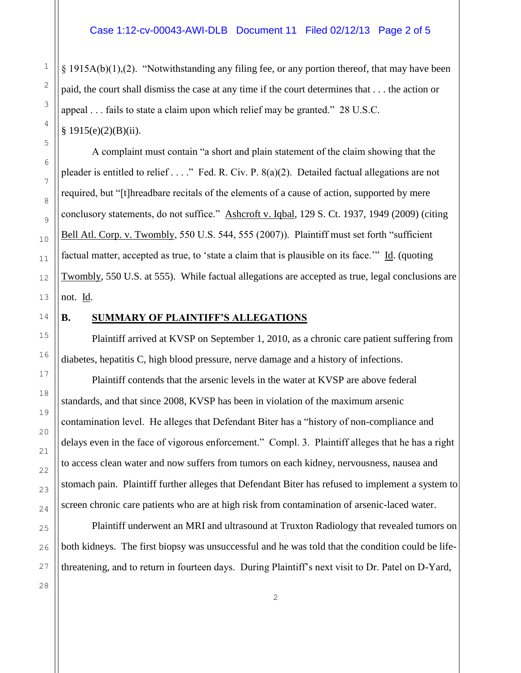$§$  1915A(b)(1),(2). "Notwithstanding any filing fee, or any portion thereof, that may have been paid, the court shall dismiss the case at any time if the court determines that . . . the action or appeal . . . fails to state a claim upon which relief may be granted." 28 U.S.C.  $§ 1915(e)(2)(B)(ii).$ 

A complaint must contain "a short and plain statement of the claim showing that the pleader is entitled to relief . . . ." Fed. R. Civ. P. 8(a)(2). Detailed factual allegations are not required, but "[t]hreadbare recitals of the elements of a cause of action, supported by mere conclusory statements, do not suffice." Ashcroft v. Iqbal, 129 S. Ct. 1937, 1949 (2009) (citing Bell Atl. Corp. v. Twombly, 550 U.S. 544, 555 (2007)). Plaintiff must set forth "sufficient factual matter, accepted as true, to 'state a claim that is plausible on its face.'" Id. (quoting Twombly, 550 U.S. at 555). While factual allegations are accepted as true, legal conclusions are not. Id.

1

2

3

4

5

6

7

8

9

10

### **B. SUMMARY OF PLAINTIFF'S ALLEGATIONS**

Plaintiff arrived at KVSP on September 1, 2010, as a chronic care patient suffering from diabetes, hepatitis C, high blood pressure, nerve damage and a history of infections.

Plaintiff contends that the arsenic levels in the water at KVSP are above federal standards, and that since 2008, KVSP has been in violation of the maximum arsenic contamination level. He alleges that Defendant Biter has a "history of non-compliance and delays even in the face of vigorous enforcement." Compl. 3. Plaintiff alleges that he has a right to access clean water and now suffers from tumors on each kidney, nervousness, nausea and stomach pain. Plaintiff further alleges that Defendant Biter has refused to implement a system to screen chronic care patients who are at high risk from contamination of arsenic-laced water.

Plaintiff underwent an MRI and ultrasound at Truxton Radiology that revealed tumors on both kidneys. The first biopsy was unsuccessful and he was told that the condition could be lifethreatening, and to return in fourteen days. During Plaintiff's next visit to Dr. Patel on D-Yard,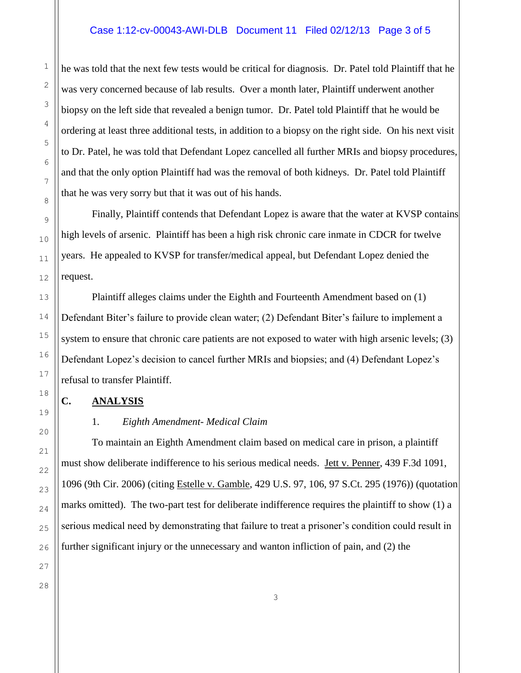#### Case 1:12-cv-00043-AWI-DLB Document 11 Filed 02/12/13 Page 3 of 5

he was told that the next few tests would be critical for diagnosis. Dr. Patel told Plaintiff that he was very concerned because of lab results. Over a month later, Plaintiff underwent another biopsy on the left side that revealed a benign tumor. Dr. Patel told Plaintiff that he would be ordering at least three additional tests, in addition to a biopsy on the right side. On his next visit to Dr. Patel, he was told that Defendant Lopez cancelled all further MRIs and biopsy procedures, and that the only option Plaintiff had was the removal of both kidneys. Dr. Patel told Plaintiff that he was very sorry but that it was out of his hands.

Finally, Plaintiff contends that Defendant Lopez is aware that the water at KVSP contains high levels of arsenic. Plaintiff has been a high risk chronic care inmate in CDCR for twelve years. He appealed to KVSP for transfer/medical appeal, but Defendant Lopez denied the request.

Plaintiff alleges claims under the Eighth and Fourteenth Amendment based on (1) Defendant Biter's failure to provide clean water; (2) Defendant Biter's failure to implement a system to ensure that chronic care patients are not exposed to water with high arsenic levels; (3) Defendant Lopez's decision to cancel further MRIs and biopsies; and (4) Defendant Lopez's refusal to transfer Plaintiff.

#### **C. ANALYSIS**

#### 1. *Eighth Amendment- Medical Claim*

To maintain an Eighth Amendment claim based on medical care in prison, a plaintiff must show deliberate indifference to his serious medical needs. Jett v. Penner, 439 F.3d 1091, 1096 (9th Cir. 2006) (citing Estelle v. Gamble, 429 U.S. 97, 106, 97 S.Ct. 295 (1976)) (quotation marks omitted). The two-part test for deliberate indifference requires the plaintiff to show (1) a serious medical need by demonstrating that failure to treat a prisoner's condition could result in further significant injury or the unnecessary and wanton infliction of pain, and (2) the

1

2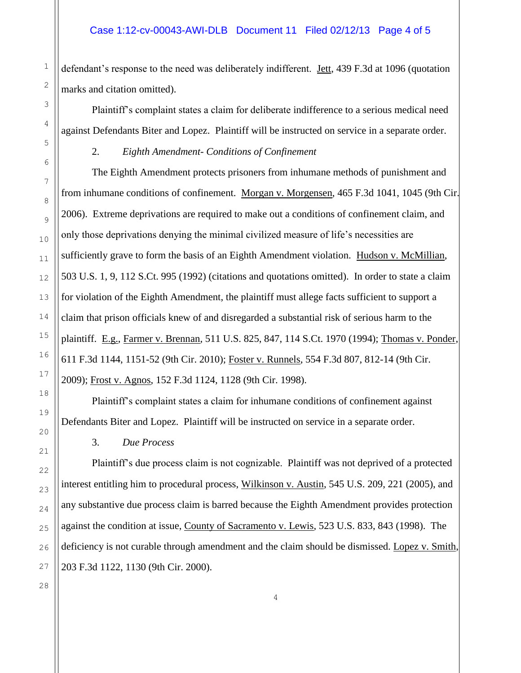defendant's response to the need was deliberately indifferent. Jett, 439 F.3d at 1096 (quotation marks and citation omitted).

Plaintiff's complaint states a claim for deliberate indifference to a serious medical need against Defendants Biter and Lopez. Plaintiff will be instructed on service in a separate order.

2. *Eighth Amendment- Conditions of Confinement*

The Eighth Amendment protects prisoners from inhumane methods of punishment and from inhumane conditions of confinement. Morgan v. Morgensen, 465 F.3d 1041, 1045 (9th Cir. 2006). Extreme deprivations are required to make out a conditions of confinement claim, and only those deprivations denying the minimal civilized measure of life's necessities are sufficiently grave to form the basis of an Eighth Amendment violation. Hudson v. McMillian, 503 U.S. 1, 9, 112 S.Ct. 995 (1992) (citations and quotations omitted). In order to state a claim for violation of the Eighth Amendment, the plaintiff must allege facts sufficient to support a claim that prison officials knew of and disregarded a substantial risk of serious harm to the plaintiff. E.g., Farmer v. Brennan, 511 U.S. 825, 847, 114 S.Ct. 1970 (1994); Thomas v. Ponder, 611 F.3d 1144, 1151-52 (9th Cir. 2010); Foster v. Runnels, 554 F.3d 807, 812-14 (9th Cir. 2009); Frost v. Agnos, 152 F.3d 1124, 1128 (9th Cir. 1998).

Plaintiff's complaint states a claim for inhumane conditions of confinement against Defendants Biter and Lopez. Plaintiff will be instructed on service in a separate order.

3. *Due Process*

Plaintiff's due process claim is not cognizable. Plaintiff was not deprived of a protected interest entitling him to procedural process, Wilkinson v. Austin, 545 U.S. 209, 221 (2005), and any substantive due process claim is barred because the Eighth Amendment provides protection against the condition at issue, County of Sacramento v. Lewis, 523 U.S. 833, 843 (1998). The deficiency is not curable through amendment and the claim should be dismissed. Lopez v. Smith, 203 F.3d 1122, 1130 (9th Cir. 2000).